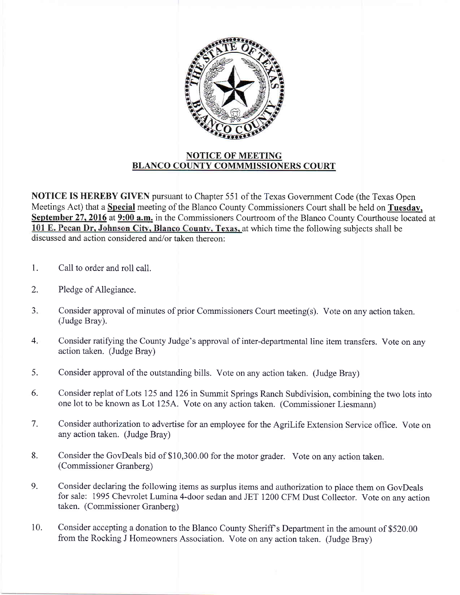

## NOTICE OF MEETING BLANCO COUNTY COMMMISSIONERS COURT

NOTICE IS HEREBY GIVEN pursuant to Chapter 551 of the Texas Government Code (the Texas Open Meetings Act) that a Special meeting of the Blanco County Commissioners Court shall be held on Tuesday, September 27, 2016 at 9:00 a.m. in the Commissioners Courtroom of the Blanco County Courthouse located at 101 E. Pecan Dr, Johnson City, Blanco County, Texas, at which time the following subjects shall be discussed and action considered and/or taken thereon:

- 1. Call to order and roll call.
- 2. Pledge of Allegiance.
- J. Consider approval of minutes of prior Commissioners Court meeting(s). Vote on any action taken. (Judge Bray).
- 4. Consider ratifying the County Judge's approval of inter-departmental line item transfers. Vote on any action taken. (Judge Bray)
- Consider approval of the outstanding bills. Vote on any action taken. (Judge Bray) 5.
- Consider replat of Lots I25 and 126 in Summit Springs Ranch Subdivision, combining the two lots into one lot to be known as Lot I25A. Vote on any action taken. (Commissioner Liesmann) 6.
- Consider authorization to advertise for an employee for the Agrilife Extension Service office. Vote on any action taken. (Judge Bray) 7.
- Consider the GovDeals bid of \$10,300.00 for the motor grader. Vote on any action taken. (Commissioner Granberg) 8.
- Consider declaring the following items as surplus items and authorization to place them on GovDeais for sale: 1995 Chevrolet Lumina 4-door sedan and JET 1200 CFM Dust Collector. Vote on anv action taken. (Commissioner Granberg) 9.
- Consider accepting a donation to the Blanco County Sheriff s Department in the amount of \$520.00 from the Rocking J Homeowners Association. Vote on any action taken. (Judge Bray) 10.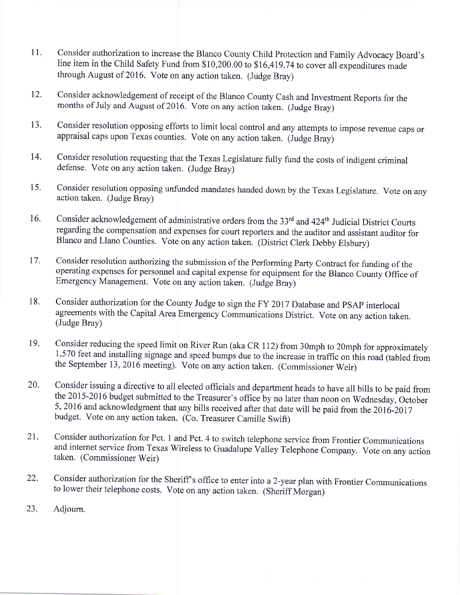- 11. Consider authorization to increase the Blanco County Child Protection and Family Advocacy Board's line item in the Child Safety Fund from \$10,200.00 to \$16,419 .74 to cover all expenditures made through August of 2016. Vote on any action taken. (Judge Bray)
- Consider acknowledgement of receipt of the Blanco County Cash and Investment Reports for the months of July and August of 2016. Vote on any action taken. (Judge Bray) 12.
- Consider resolution opposing efforts to limit local control and any attempts to impose revenue caps or appraisal caps upon Texas counties. vote on any action taken. (Judge Bray) 13.
- Consider resolution requesting that the Texas Legislature fully fund the costs of indigent criminal defense. Vote on any action taken. (Judge Bray) 14.
- Consider resolution opposing unfunded mandates handed down by the Texas Legislature. Vote on any action taken. (Judge Bray) i5.
- Consider acknowledgement of administrative orders from the 33<sup>rd</sup> and 424<sup>th</sup> Judicial District Courts regarding the compensation and expenses for court reporters and the auditor and assistant auditor for Blanco and Llano Counties. Vote on any action taken. (District Clerk Debby Elsbury) 16.
- Consider resolution authorizing the submission of the Performing Party Contract for funding of the operating expenses for personnel and capital expense for equipment for the Blanco County Office of Emergency Management. Vote on any action taken. (Judge Bray) 17.
- Consider authorization for the County Judge to sign the FY 2017 Database and pSAp interlocal agreements with the Capital Area Emergency Communications District. Vote on any action taken. (Judge Bray) 18.
- Consider reducing the speed limit on River Run (aka CR 112) from 30mph to 20mph for approximately 1,570 feet and installing signage and speed bumps due to the increase in traffic on this road (tabled from the September 13, 2016 meeting). Vote on any action taken. (Commissioner Weir) 19.
- Consider issuing a directive to all elected officials and department heads to have all bills to be paid from the 2015-2016 budget submitted to the Treasurer's office by no later than noon on Wednesday, October 5, 2016 and acknowledgment that any bills received after that date will be paid from the 2016-2017 budget. Vote on any action taken. (Co. Treasurer Camille Swift) 20.
- Consider authorization for Pct. 1 and Pct. 4 to switch telephone service from Frontier Communications and internet service from Texas Wireless to Guadalupe Valley Telephone Company. Vote on any action taken. (Commissioner Weir) 21.
- Consider authorization for the Sheriff s office to enter into a 2-year plan with Frontier Communications to lower their telephone costs. Vote on any action taken. (Sheriff Morgan) 22.
- Adjourn. z3